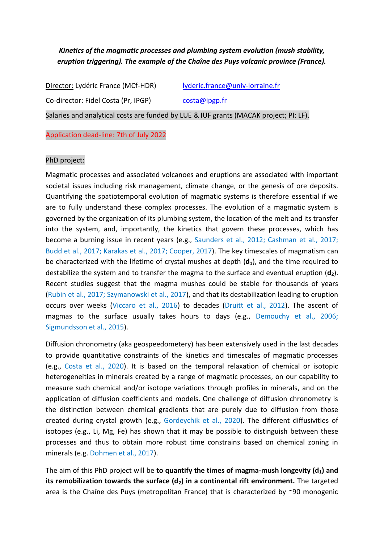*Kinetics of the magmatic processes and plumbing system evolution (mush stability, eruption triggering). The example of the Chaîne des Puys volcanic province (France).*

Director: Lydéric France (MCf-HDR) [lyderic.france@univ-lorraine.fr](mailto:lyderic.france@univ-lorraine.fr) Co-director: Fidel Costa (Pr, IPGP) [costa@ipgp.fr](mailto:costa@ipgp.fr) Salaries and analytical costs are funded by LUE & IUF grants (MACAK project; PI: LF).

Application dead-line: 7th of July 2022

## PhD project:

Magmatic processes and associated volcanoes and eruptions are associated with important societal issues including risk management, climate change, or the genesis of ore deposits. Quantifying the spatiotemporal evolution of magmatic systems is therefore essential if we are to fully understand these complex processes. The evolution of a magmatic system is governed by the organization of its plumbing system, the location of the melt and its transfer into the system, and, importantly, the kinetics that govern these processes, which has become a burning issue in recent years (e.g., Saunders et al., 2012; Cashman et al., 2017; Budd et al., 2017; Karakas et al., 2017; Cooper, 2017). The key timescales of magmatism can be characterized with the lifetime of crystal mushes at depth (**d1**), and the time required to destabilize the system and to transfer the magma to the surface and eventual eruption (**d2**). Recent studies suggest that the magma mushes could be stable for thousands of years (Rubin et al., 2017; Szymanowski et al., 2017), and that its destabilization leading to eruption occurs over weeks (Viccaro et al., 2016) to decades (Druitt et al., 2012). The ascent of magmas to the surface usually takes hours to days (e.g., Demouchy et al., 2006; Sigmundsson et al., 2015).

Diffusion chronometry (aka geospeedometery) has been extensively used in the last decades to provide quantitative constraints of the kinetics and timescales of magmatic processes (e.g., Costa et al., 2020). It is based on the temporal relaxation of chemical or isotopic heterogeneities in minerals created by a range of magmatic processes, on our capability to measure such chemical and/or isotope variations through profiles in minerals, and on the application of diffusion coefficients and models. One challenge of diffusion chronometry is the distinction between chemical gradients that are purely due to diffusion from those created during crystal growth (e.g., Gordeychik et al., 2020). The different diffusivities of isotopes (e.g., Li, Mg, Fe) has shown that it may be possible to distinguish between these processes and thus to obtain more robust time constrains based on chemical zoning in minerals (e.g. Dohmen et al., 2017).

The aim of this PhD project will be **to quantify the times of magma-mush longevity (d1) and its remobilization towards the surface (d2) in a continental rift environment.** The targeted area is the Chaîne des Puys (metropolitan France) that is characterized by  $\sim$ 90 monogenic